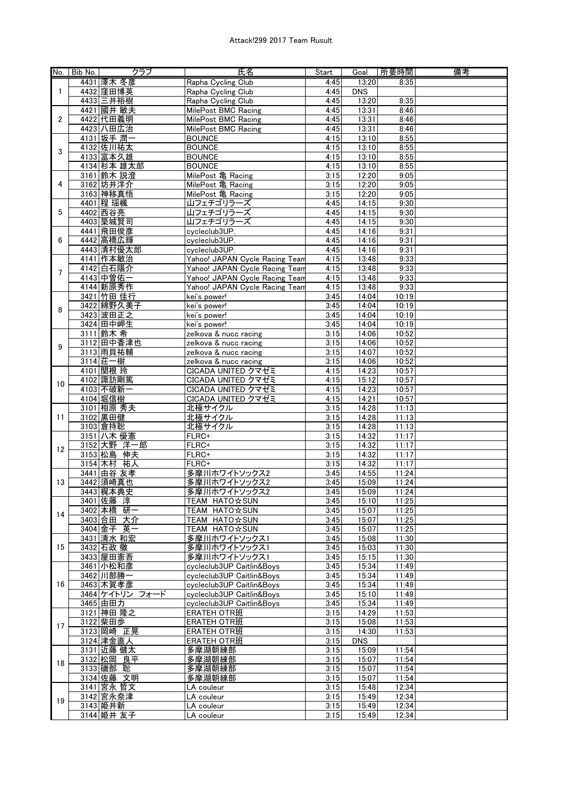## Attack!299 2017 Team Rusult

| No.               | Bib No. | クラブ             | 氏名                             | Start | Goal       | 所要時間  | 備考 |
|-------------------|---------|-----------------|--------------------------------|-------|------------|-------|----|
| $\mathbf{1}$<br>2 |         | 4431 澤木 冬彦      | Rapha Cycling Club             | 4:45  | 13:20      | 8:35  |    |
|                   |         | 4432 窪田博英       | Rapha Cycling Club             | 4:45  | <b>DNS</b> |       |    |
|                   |         | 4433 三井裕樹       | Rapha Cycling Club             | 4:45  | 13:20      | 8:35  |    |
|                   |         |                 |                                |       |            |       |    |
|                   |         | 4421 國井 敏夫      | MilePost BMC Racing            | 4:45  | 13:31      | 8:46  |    |
|                   |         | 4422 代田義明       | MilePost BMC Racing            | 4:45  | 13:31      | 8:46  |    |
|                   |         | 4423 八田広治       | MilePost BMC Racing            | 4:45  | 13:31      | 8:46  |    |
| 3                 |         | 4131 坂手 潤一      | <b>BOUNCE</b>                  | 4:15  | 13:10      | 8:55  |    |
|                   |         | 4132 佐川祐太       | <b>BOUNCE</b>                  | 4:15  | 13:10      | 8:55  |    |
|                   |         | 4133 富本久雄       | <b>BOUNCE</b>                  | 4:15  | 13:10      | 8:55  |    |
|                   |         | 4134 杉本 雄太郎     | <b>BOUNCE</b>                  | 4:15  | 13:10      | 8:55  |    |
|                   |         | 3161 鈴木 説澄      | MilePost 亀 Racing              | 3:15  | 12:20      | 9:05  |    |
| 4                 |         | 3162 坊井洋介       | MilePost 亀 Racing              | 3:15  | 12:20      | 9:05  |    |
|                   |         | 3163 神移真悟       | MilePost 亀 Racing              | 3:15  | 12:20      | 9:05  |    |
|                   |         | 4401 程 瑶楓       | 山フェチゴリラーズ                      | 4:45  | 14:15      | 9:30  |    |
| 5                 |         | 4402 西谷亮        | 山フェチゴリラーズ                      | 4:45  | 14:15      | 9:30  |    |
|                   |         | 4403 築城賢司       | 山フェチゴリラーズ                      | 4:45  | 14:15      | 9:30  |    |
|                   |         |                 |                                |       |            |       |    |
|                   |         | 4441 飛田俊彦       | cycleclub3UP.                  | 4:45  | 14:16      | 9:31  |    |
| 6                 |         | 4442 高橋広輝       | cycleclub3UP.                  | 4:45  | 14:16      | 9:31  |    |
|                   |         | 4443 清村優太郎      | cycleclub3UP.                  | 4:45  | 14:16      | 9:31  |    |
|                   |         | 4141 作本敏治       | Yahoo! JAPAN Cycle Racing Team | 4:15  | 13:48      | 9:33  |    |
| 7                 |         | 4142 白石陽介       | Yahoo! JAPAN Cycle Racing Team | 4:15  | 13:48      | 9:33  |    |
|                   |         | 4143 中曽佑一       | Yahoo! JAPAN Cycle Racing Team | 4:15  | 13:48      | 9:33  |    |
|                   |         | 4144 新原秀作       | Yahoo! JAPAN Cycle Racing Team | 4:15  | 13:48      | 9:33  |    |
|                   |         | 3421 竹田 佳行      | kei's power!                   | 3:45  | 14:04      | 10:19 |    |
|                   |         | 3422 綿野久美子      | kei's power!                   | 3:45  | 14:04      | 10:19 |    |
| 8                 |         | 3423 波田正之       | kei's power!                   | 3:45  | 14:04      | 10:19 |    |
|                   |         | 3424 田中岬生       | kei's power!                   | 3:45  | 14:04      | 10:19 |    |
|                   |         | 3111 鈴木 希       | zelkova & nucc racing          | 3:15  | 14:06      | 10:52 |    |
|                   |         | 3112 田中香津也      | zelkova & nucc racing          | 3:15  | 14:06      | 10:52 |    |
| 9                 |         |                 |                                |       |            |       |    |
|                   |         | 3113 雨貝祐輔       | zelkova & nucc racing          | 3:15  | 14:07      | 10:52 |    |
|                   |         | 3114 荘一樹        | zelkova & nucc racing          | 3:15  | 14:06      | 10:52 |    |
|                   |         | 4101 関根 玲       | CICADA UNITED クマゼミ             | 4:15  | 14:23      | 10:57 |    |
| 10                |         | 4102 諏訪剛篤       | CICADA UNITED クマゼミ             | 4:15  | 15:12      | 10:57 |    |
|                   |         | 4103 不破新一       | CICADA UNITED クマゼミ             | 4:15  | 14:23      | 10:57 |    |
|                   |         | 4104 堀信樹        | CICADA UNITED クマゼミ             | 4:15  | 14:21      | 10:57 |    |
|                   |         | 3101 相原 秀夫      | 北極サイクル                         | 3:15  | 14:28      | 11:13 |    |
| 11                |         | 3102 黒田健        | 北極サイクル                         | 3:15  | 14:28      | 11:13 |    |
|                   |         | 3103 倉持聡        | 北極サイクル                         | 3:15  | 14:28      | 11:13 |    |
|                   |         | 3151 八木 優憲      | $FLRC+$                        | 3:15  | 14:32      | 11:17 |    |
|                   |         | 3152 大野 洋一郎     | FLRC+                          | 3:15  | 14:32      | 11:17 |    |
| 12                |         | 3153 松島<br>伸夫   | FLRC+                          | 3:15  | 14:32      | 11:17 |    |
|                   |         | 3154 木村<br>祐人   | FLRC+                          | 3:15  | 14:32      | 11:17 |    |
|                   |         | 3441 由谷 友孝      | 多摩川ホワイトソックス2                   | 3:45  | 14:55      | 11:24 |    |
| 13                |         | 3442 須崎真也       | 多摩川ホワイトソックス2                   | 3:45  | 15:09      | 11:24 |    |
|                   |         |                 |                                |       |            |       |    |
|                   |         | 3443 梶本典史       | 多摩川ホワイトソックス2                   | 3:45  | 15:09      | 11:24 |    |
|                   |         | 3401 佐藤 淳       | TEAM HATO☆SUN                  | 3:45  | 15:10      | 11:25 |    |
| 14                |         | 3402 本橋 研一      | TEAM HATO☆SUN                  | 3:45  | 15:07      | 11:25 |    |
|                   |         | 3403 合田 大介      | <b>TEAM HATO☆SUN</b>           | 3:45  | 15:07      | 11:25 |    |
| 15                |         | 3404 金子 英一      | TEAM HATO XSUN                 | 3:45  | 15:07      | 11:25 |    |
|                   |         | 3431 清水 和宏      | 多摩川ホワイトソックス1                   | 3:45  | 15:08      | 11:30 |    |
|                   |         | 3432 石政 徹       | 多摩川ホワイトソックス1                   | 3:45  | 15:03      | 11:30 |    |
|                   |         | 3433 屋田憲吾       | 多摩川ホワイトソックス1                   | 3:45  | 15:15      | 11:30 |    |
|                   |         | 3461 小松和彦       | cycleclub3UP Caitlin&Boys      | 3:45  | 15:34      | 11:49 |    |
|                   |         | 3462 川部勝一       | cycleclub3UP Caitlin&Boys      | 3:45  | 15:34      | 11:49 |    |
| 16                |         | 3463 木賀孝彦       | cycleclub3UP Caitlin&Boys      | 3:45  | 15:34      | 11:49 |    |
|                   |         | 3464 ケイトリン フォード | cycleclub3UP Caitlin&Boys      | 3:45  | 15:10      | 11:49 |    |
|                   |         | 3465 由田力        | cycleclub3UP Caitlin&Boys      | 3:45  | 15:34      | 11:49 |    |
|                   |         | 3121 神田 隆之      | <b>ERATEH OTR班</b>             | 3:15  | 14:29      | 11:53 |    |
|                   |         | 3122 柴田歩        | <b>ERATEH OTR班</b>             |       | 15:08      | 11:53 |    |
| 17                |         |                 |                                | 3:15  |            |       |    |
|                   |         | 3123 岡崎 正晃      | ERATEH OTR班                    | 3:15  | 14:30      | 11:53 |    |
|                   |         | 3124 津金直人       | ERATEH OTR班                    | 3:15  | <b>DNS</b> |       |    |
| 18                |         | 3131 近藤 健太      | 多摩湖朝練部                         | 3:15  | 15:09      | 11:54 |    |
|                   |         | 3132 松岡 良平      | 多摩湖朝練部                         | 3:15  | 15:07      | 11:54 |    |
|                   |         | 3133 磯部 聡       | 多摩湖朝練部                         | 3:15  | 15:07      | 11:54 |    |
|                   |         | 3134 佐藤 文明      | 多摩湖朝練部                         | 3:15  | 15:07      | 11:54 |    |
|                   |         | 3141 宮永 哲文      | LA couleur                     | 3:15  | 15:48      | 12:34 |    |
|                   |         | 3142 宮永奈津       | LA couleur                     | 3:15  | 15:49      | 12:34 |    |
| 19                |         | 3143 姫井新        | LA couleur                     | 3:15  | 15:49      | 12:34 |    |
|                   |         | 3144 姫井 友子      | LA couleur                     | 3:15  | 15:49      | 12:34 |    |
|                   |         |                 |                                |       |            |       |    |